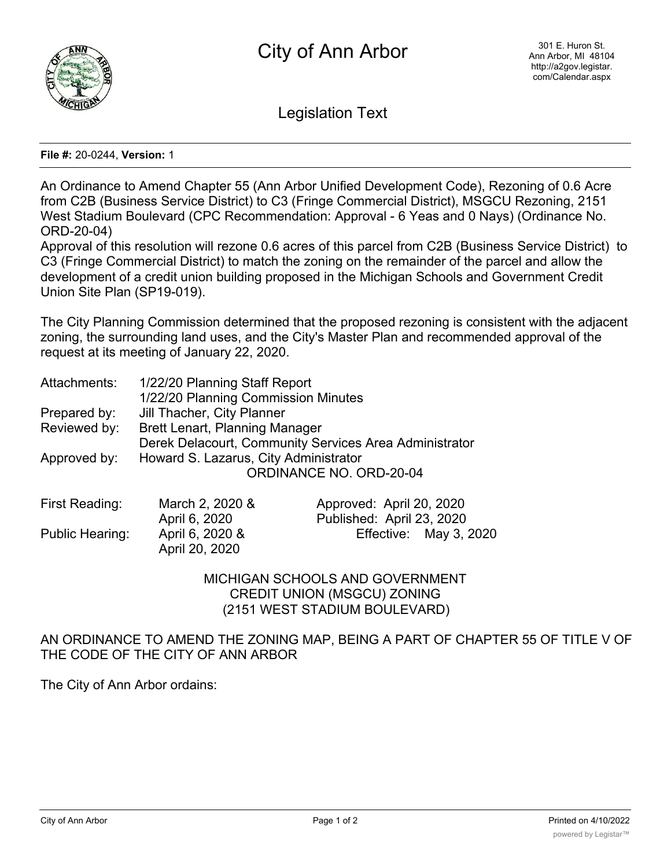

Legislation Text

**File #:** 20-0244, **Version:** 1

An Ordinance to Amend Chapter 55 (Ann Arbor Unified Development Code), Rezoning of 0.6 Acre from C2B (Business Service District) to C3 (Fringe Commercial District), MSGCU Rezoning, 2151 West Stadium Boulevard (CPC Recommendation: Approval - 6 Yeas and 0 Nays) (Ordinance No. ORD-20-04)

Approval of this resolution will rezone 0.6 acres of this parcel from C2B (Business Service District) to C3 (Fringe Commercial District) to match the zoning on the remainder of the parcel and allow the development of a credit union building proposed in the Michigan Schools and Government Credit Union Site Plan (SP19-019).

The City Planning Commission determined that the proposed rezoning is consistent with the adjacent zoning, the surrounding land uses, and the City's Master Plan and recommended approval of the request at its meeting of January 22, 2020.

| Attachments: | 1/22/20 Planning Staff Report                          |  |  |
|--------------|--------------------------------------------------------|--|--|
|              | 1/22/20 Planning Commission Minutes                    |  |  |
| Prepared by: | Jill Thacher, City Planner                             |  |  |
| Reviewed by: | <b>Brett Lenart, Planning Manager</b>                  |  |  |
|              | Derek Delacourt, Community Services Area Administrator |  |  |
| Approved by: | Howard S. Lazarus, City Administrator                  |  |  |
|              | <b>ORDINANCE NO. ORD-20-04</b>                         |  |  |
|              |                                                        |  |  |

| First Reading:  | March 2, 2020 &                   | Approved: April 20, 2020  |
|-----------------|-----------------------------------|---------------------------|
|                 | April 6, 2020                     | Published: April 23, 2020 |
| Public Hearing: | April 6, 2020 &<br>April 20, 2020 | Effective: May 3, 2020    |
|                 |                                   |                           |

MICHIGAN SCHOOLS AND GOVERNMENT CREDIT UNION (MSGCU) ZONING (2151 WEST STADIUM BOULEVARD)

AN ORDINANCE TO AMEND THE ZONING MAP, BEING A PART OF CHAPTER 55 OF TITLE V OF THE CODE OF THE CITY OF ANN ARBOR

The City of Ann Arbor ordains: